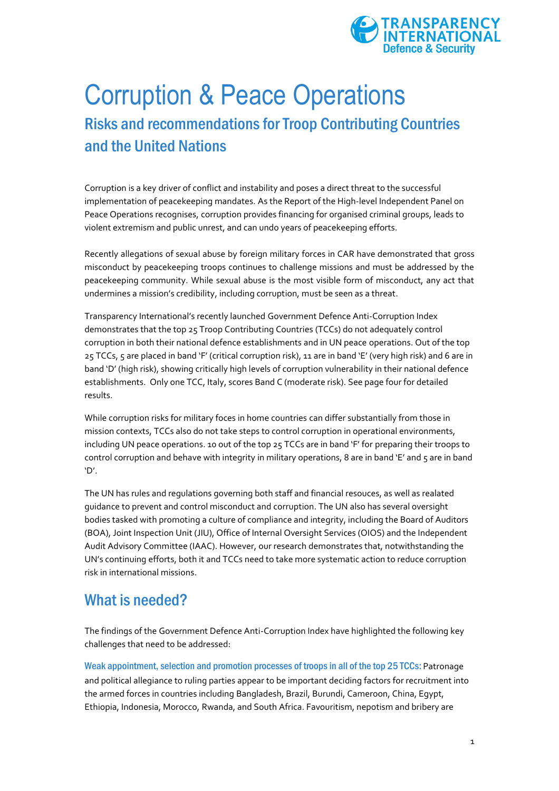

## Corruption & Peace Operations Risks and recommendations for Troop Contributing Countries and the United Nations

Corruption is a key driver of conflict and instability and poses a direct threat to the successful implementation of peacekeeping mandates. As the Report of the High-level Independent Panel on Peace Operations recognises, corruption provides financing for organised criminal groups, leads to violent extremism and public unrest, and can undo years of peacekeeping efforts.

Recently allegations of sexual abuse by foreign military forces in CAR have demonstrated that gross misconduct by peacekeeping troops continues to challenge missions and must be addressed by the peacekeeping community. While sexual abuse is the most visible form of misconduct, any act that undermines a mission's credibility, including corruption, must be seen as a threat.

Transparency International's recently launched Government Defence Anti-Corruption Index demonstrates that the top 25 Troop Contributing Countries (TCCs) do not adequately control corruption in both their national defence establishments and in UN peace operations. Out of the top 25 TCCs, 5 are placed in band 'F' (critical corruption risk), 11 are in band 'E' (very high risk) and 6 are in band 'D' (high risk), showing critically high levels of corruption vulnerability in their national defence establishments. Only one TCC, Italy, scores Band C (moderate risk). See page four for detailed results.

While corruption risks for military foces in home countries can differ substantially from those in mission contexts, TCCs also do not take steps to control corruption in operational environments, including UN peace operations. 10 out of the top 25 TCCs are in band 'F' for preparing their troops to control corruption and behave with integrity in military operations, 8 are in band 'E' and 5 are in band 'D'.

The UN has rules and regulations governing both staff and financial resouces, as well as realated guidance to prevent and control misconduct and corruption. The UN also has several oversight bodies tasked with promoting a culture of compliance and integrity, including the Board of Auditors (BOA), Joint Inspection Unit (JIU), Office of Internal Oversight Services (OIOS) and the Independent Audit Advisory Committee (IAAC). However, our research demonstrates that, notwithstanding the UN's continuing efforts, both it and TCCs need to take more systematic action to reduce corruption risk in international missions.

## What is needed?

The findings of the Government Defence Anti-Corruption Index have highlighted the following key challenges that need to be addressed:

Weak appointment, selection and promotion processes of troops in all of the top 25 TCCs: Patronage and political allegiance to ruling parties appear to be important deciding factors for recruitment into the armed forces in countries including Bangladesh, Brazil, Burundi, Cameroon, China, Egypt, Ethiopia, Indonesia, Morocco, Rwanda, and South Africa. Favouritism, nepotism and bribery are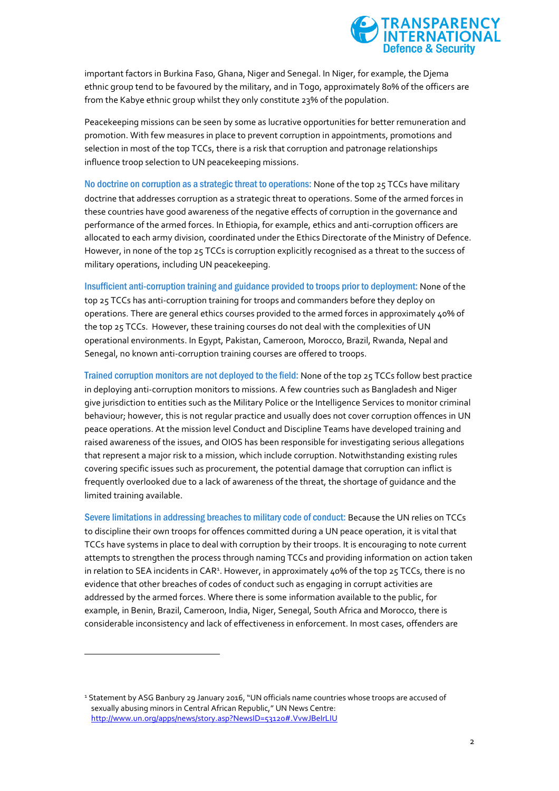

important factors in Burkina Faso, Ghana, Niger and Senegal. In Niger, for example, the Djema ethnic group tend to be favoured by the military, and in Togo, approximately 80% of the officers are from the Kabye ethnic group whilst they only constitute 23% of the population.

Peacekeeping missions can be seen by some as lucrative opportunities for better remuneration and promotion. With few measures in place to prevent corruption in appointments, promotions and selection in most of the top TCCs, there is a risk that corruption and patronage relationships influence troop selection to UN peacekeeping missions.

No doctrine on corruption as a strategic threat to operations: None of the top 25 TCCs have military doctrine that addresses corruption as a strategic threat to operations. Some of the armed forces in these countries have good awareness of the negative effects of corruption in the governance and performance of the armed forces. In Ethiopia, for example, ethics and anti-corruption officers are allocated to each army division, coordinated under the Ethics Directorate of the Ministry of Defence. However, in none of the top 25 TCCs is corruption explicitly recognised as a threat to the success of military operations, including UN peacekeeping.

Insufficient anti-corruption training and guidance provided to troops prior to deployment: None of the top 25 TCCs has anti-corruption training for troops and commanders before they deploy on operations. There are general ethics courses provided to the armed forces in approximately 40% of the top 25 TCCs. However, these training courses do not deal with the complexities of UN operational environments. In Egypt, Pakistan, Cameroon, Morocco, Brazil, Rwanda, Nepal and Senegal, no known anti-corruption training courses are offered to troops.

Trained corruption monitors are not deployed to the field: None of the top 25 TCCs follow best practice in deploying anti-corruption monitors to missions. A few countries such as Bangladesh and Niger give jurisdiction to entities such as the Military Police or the Intelligence Services to monitor criminal behaviour; however, this is not regular practice and usually does not cover corruption offences in UN peace operations. At the mission level Conduct and Discipline Teams have developed training and raised awareness of the issues, and OIOS has been responsible for investigating serious allegations that represent a major risk to a mission, which include corruption. Notwithstanding existing rules covering specific issues such as procurement, the potential damage that corruption can inflict is frequently overlooked due to a lack of awareness of the threat, the shortage of guidance and the limited training available.

Severe limitations in addressing breaches to military code of conduct: Because the UN relies on TCCs to discipline their own troops for offences committed during a UN peace operation, it is vital that TCCs have systems in place to deal with corruption by their troops. It is encouraging to note current attempts to strengthen the process through naming TCCs and providing information on action taken in relation to SEA incidents in CAR<sup>1</sup>. However, in approximately 40% of the top 25 TCCs, there is no evidence that other breaches of codes of conduct such as engaging in corrupt activities are addressed by the armed forces. Where there is some information available to the public, for example, in Benin, Brazil, Cameroon, India, Niger, Senegal, South Africa and Morocco, there is considerable inconsistency and lack of effectiveness in enforcement. In most cases, offenders are

<sup>1</sup> Statement by ASG Banbury 29 January 2016, "UN officials name countries whose troops are accused of sexually abusing minors in Central African Republic," UN News Centre: <http://www.un.org/apps/news/story.asp?NewsID=53120#.VvwJBeIrLIU>

 $\overline{a}$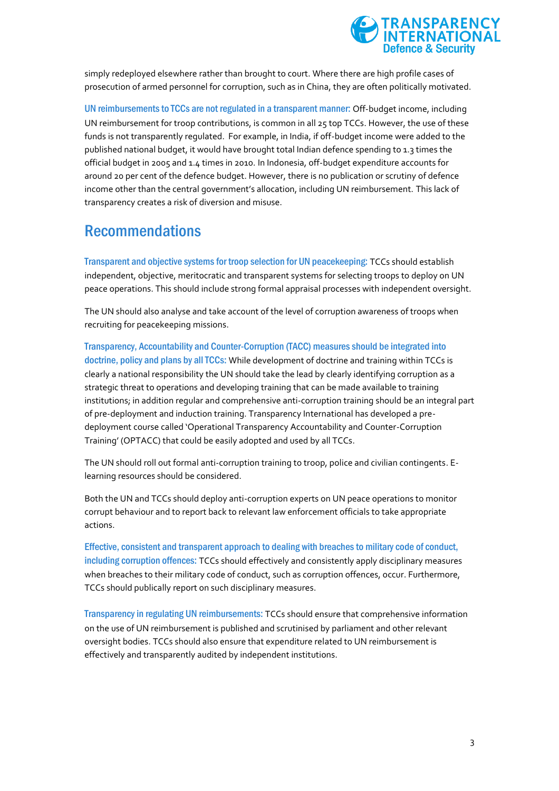

simply redeployed elsewhere rather than brought to court. Where there are high profile cases of prosecution of armed personnel for corruption, such as in China, they are often politically motivated.

UN reimbursements to TCCs are not regulated in a transparent manner: Off-budget income, including UN reimbursement for troop contributions, is common in all 25 top TCCs. However, the use of these funds is not transparently regulated. For example, in India, if off-budget income were added to the published national budget, it would have brought total Indian defence spending to 1.3 times the official budget in 2005 and 1.4 times in 2010. In Indonesia, off-budget expenditure accounts for around 20 per cent of the defence budget. However, there is no publication or scrutiny of defence income other than the central government's allocation, including UN reimbursement. This lack of transparency creates a risk of diversion and misuse.

## Recommendations

Transparent and objective systems for troop selection for UN peacekeeping: TCCs should establish independent, objective, meritocratic and transparent systems for selecting troops to deploy on UN peace operations. This should include strong formal appraisal processes with independent oversight.

The UN should also analyse and take account of the level of corruption awareness of troops when recruiting for peacekeeping missions.

Transparency, Accountability and Counter-Corruption (TACC) measures should be integrated into doctrine, policy and plans by all TCCs: While development of doctrine and training within TCCs is clearly a national responsibility the UN should take the lead by clearly identifying corruption as a strategic threat to operations and developing training that can be made available to training institutions; in addition regular and comprehensive anti-corruption training should be an integral part of pre-deployment and induction training. Transparency International has developed a predeployment course called 'Operational Transparency Accountability and Counter-Corruption Training' (OPTACC) that could be easily adopted and used by all TCCs.

The UN should roll out formal anti-corruption training to troop, police and civilian contingents. Elearning resources should be considered.

Both the UN and TCCs should deploy anti-corruption experts on UN peace operations to monitor corrupt behaviour and to report back to relevant law enforcement officials to take appropriate actions.

Effective, consistent and transparent approach to dealing with breaches to military code of conduct, including corruption offences: TCCs should effectively and consistently apply disciplinary measures when breaches to their military code of conduct, such as corruption offences, occur. Furthermore, TCCs should publically report on such disciplinary measures.

Transparency in regulating UN reimbursements: TCCs should ensure that comprehensive information on the use of UN reimbursement is published and scrutinised by parliament and other relevant oversight bodies. TCCs should also ensure that expenditure related to UN reimbursement is effectively and transparently audited by independent institutions.